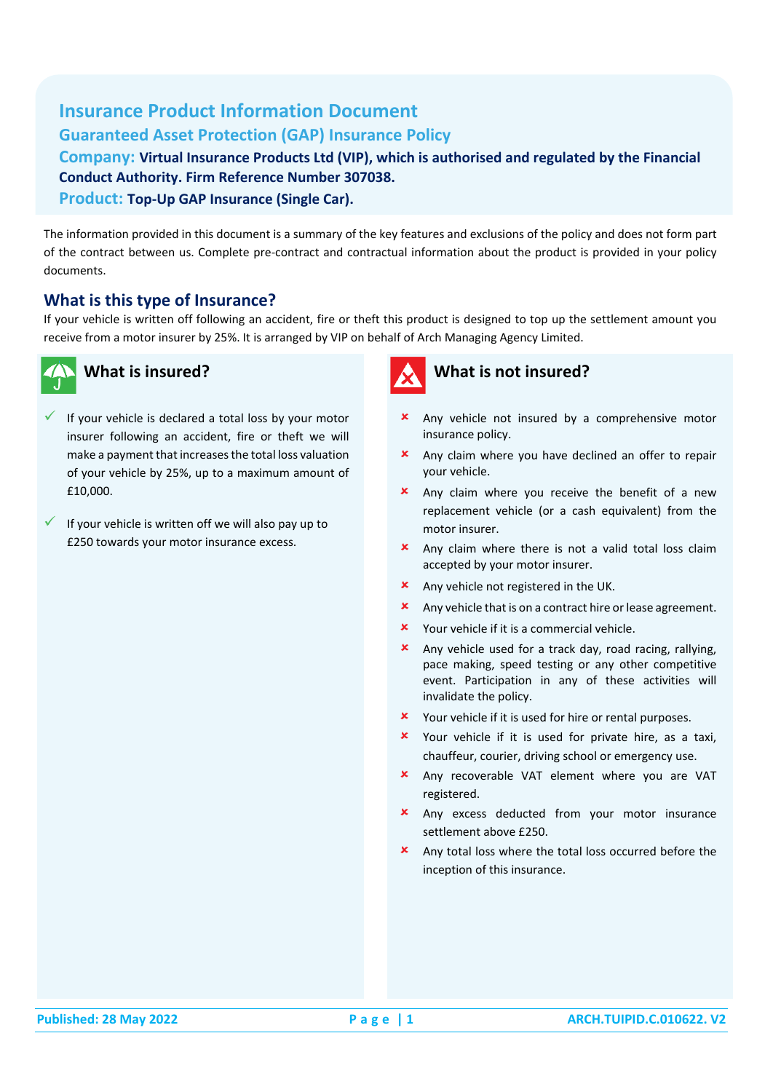## **Insurance Product Information Document Guaranteed Asset Protection (GAP) Insurance Policy Company: Virtual Insurance Products Ltd (VIP), which is authorised and regulated by the Financial**

**Conduct Authority. Firm Reference Number 307038.**

**Product: Top-Up GAP Insurance (Single Car).**

The information provided in this document is a summary of the key features and exclusions of the policy and does not form part of the contract between us. Complete pre-contract and contractual information about the product is provided in your policy documents.

#### **What is this type of Insurance?**

If your vehicle is written off following an accident, fire or theft this product is designed to top up the settlement amount you receive from a motor insurer by 25%. It is arranged by VIP on behalf of Arch Managing Agency Limited.



#### **What is insured?**

- If your vehicle is declared a total loss by your motor insurer following an accident, fire or theft we will make a payment that increases the total loss valuation of your vehicle by 25%, up to a maximum amount of £10,000.
- If your vehicle is written off we will also pay up to £250 towards your motor insurance excess.

# **What is not insured?**

#### **x** Any vehicle not insured by a comprehensive motor insurance policy.

- Any claim where you have declined an offer to repair your vehicle.
- **x** Any claim where you receive the benefit of a new replacement vehicle (or a cash equivalent) from the motor insurer.
- **x** Any claim where there is not a valid total loss claim accepted by your motor insurer.
- **\*** Any vehicle not registered in the UK.
- $\boldsymbol{\times}$  Any vehicle that is on a contract hire or lease agreement.
- Your vehicle if it is a commercial vehicle.
- Any vehicle used for a track day, road racing, rallying, pace making, speed testing or any other competitive event. Participation in any of these activities will invalidate the policy.
- **x** Your vehicle if it is used for hire or rental purposes.
- Your vehicle if it is used for private hire, as a taxi, chauffeur, courier, driving school or emergency use.
- Any recoverable VAT element where you are VAT registered.
- **x** Any excess deducted from your motor insurance settlement above £250.
- $\star$  Any total loss where the total loss occurred before the inception of this insurance.